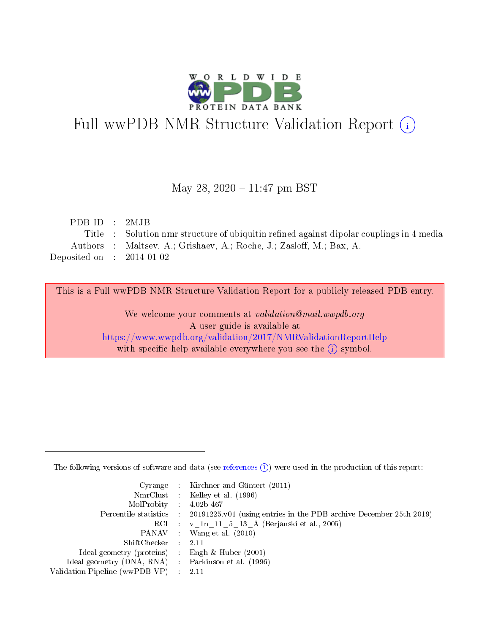

# Full wwPDB NMR Structure Validation Report (i)

## May 28, 2020 - 11:47 pm BST

| PDB ID : 2MJB                                                                           |
|-----------------------------------------------------------------------------------------|
| Title: Solution nmr structure of ubiquitin refined against dipolar couplings in 4 media |
| Authors : Maltsey, A.; Grishaev, A.; Roche, J.; Zasloff, M.; Bax, A.                    |
| Deposited on : $2014-01-02$                                                             |
|                                                                                         |

This is a Full wwPDB NMR Structure Validation Report for a publicly released PDB entry.

We welcome your comments at *validation@mail.wwpdb.org* A user guide is available at <https://www.wwpdb.org/validation/2017/NMRValidationReportHelp> with specific help available everywhere you see the  $(i)$  symbol.

The following versions of software and data (see [references](https://www.wwpdb.org/validation/2017/NMRValidationReportHelp#references)  $(1)$ ) were used in the production of this report:

|                                                     | Cyrange : Kirchner and Güntert $(2011)$                                                    |
|-----------------------------------------------------|--------------------------------------------------------------------------------------------|
|                                                     | NmrClust : Kelley et al. (1996)                                                            |
| $MolProbability$ 4.02b-467                          |                                                                                            |
|                                                     | Percentile statistics : 20191225.v01 (using entries in the PDB archive December 25th 2019) |
|                                                     | RCI : v 1n 11 5 13 A (Berjanski et al., 2005)                                              |
|                                                     | PANAV Wang et al. (2010)                                                                   |
| $ShiftChecker$ 2.11                                 |                                                                                            |
| Ideal geometry (proteins) : Engh $\&$ Huber (2001)  |                                                                                            |
| Ideal geometry (DNA, RNA) : Parkinson et al. (1996) |                                                                                            |
| Validation Pipeline (wwPDB-VP)                      | $\sim 2.11$                                                                                |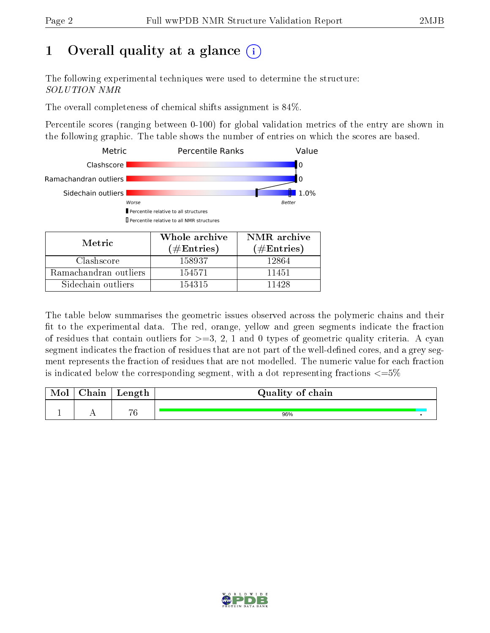# 1 [O](https://www.wwpdb.org/validation/2017/NMRValidationReportHelp#overall_quality)verall quality at a glance  $\overline{()}$

The following experimental techniques were used to determine the structure: SOLUTION NMR

The overall completeness of chemical shifts assignment is 84%.

Percentile scores (ranging between 0-100) for global validation metrics of the entry are shown in the following graphic. The table shows the number of entries on which the scores are based.



| Sidechain outliers                                                                         | 154315 | 11428 |                                                                                                         |
|--------------------------------------------------------------------------------------------|--------|-------|---------------------------------------------------------------------------------------------------------|
|                                                                                            |        |       |                                                                                                         |
|                                                                                            |        |       |                                                                                                         |
|                                                                                            |        |       | The table below summarises the geometric issues observed across the polymeric chains and their          |
|                                                                                            |        |       | fit to the experimental data. The red, orange, yellow and green segments indicate the fraction          |
|                                                                                            |        |       | of residues that contain outliers for $\geq=3$ , 2, 1 and 0 types of geometric quality criteria. A cyan |
|                                                                                            |        |       | segment indicates the fraction of residues that are not part of the well-defined cores, and a grey seg- |
|                                                                                            |        |       | ment represents the fraction of residues that are not modelled. The numeric value for each fraction     |
| is indicated below the corresponding segment, with a dot representing fractions $\leq 5\%$ |        |       |                                                                                                         |

| Mol | $\cap$ hain | Length         | Quality of chain |  |
|-----|-------------|----------------|------------------|--|
|     |             |                |                  |  |
|     |             | $\overline{H}$ | 96%              |  |

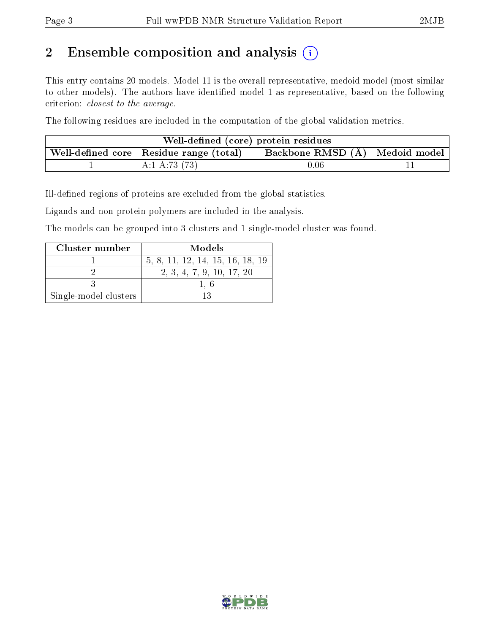# 2 Ensemble composition and analysis  $(i)$

This entry contains 20 models. Model 11 is the overall representative, medoid model (most similar to other models). The authors have identified model 1 as representative, based on the following criterion: closest to the average.

The following residues are included in the computation of the global validation metrics.

| Well-defined (core) protein residues                                                  |  |  |  |  |  |  |
|---------------------------------------------------------------------------------------|--|--|--|--|--|--|
| Backbone RMSD (Å)   Medoid model  <br>Well-defined core $\vert$ Residue range (total) |  |  |  |  |  |  |
| A:1-A:73 $(73)$<br>$0.06\,$                                                           |  |  |  |  |  |  |

Ill-defined regions of proteins are excluded from the global statistics.

Ligands and non-protein polymers are included in the analysis.

The models can be grouped into 3 clusters and 1 single-model cluster was found.

| Cluster number        | Models                           |
|-----------------------|----------------------------------|
|                       | 5, 8, 11, 12, 14, 15, 16, 18, 19 |
|                       | 2, 3, 4, 7, 9, 10, 17, 20        |
|                       |                                  |
| Single-model clusters |                                  |

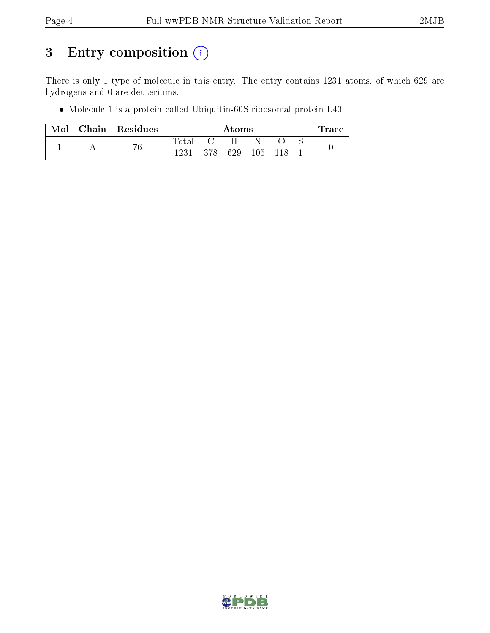# 3 Entry composition (i)

There is only 1 type of molecule in this entry. The entry contains 1231 atoms, of which 629 are hydrogens and 0 are deuteriums.

Molecule 1 is a protein called Ubiquitin-60S ribosomal protein L40.

| Mol | Chain Residues |             | Atoms |              |  |         |  | $\operatorname{Trace}$ |
|-----|----------------|-------------|-------|--------------|--|---------|--|------------------------|
|     | 76             | $\rm Total$ |       | $\mathsf{H}$ |  |         |  |                        |
|     |                | 1231        | -378  | 629          |  | 105 118 |  |                        |

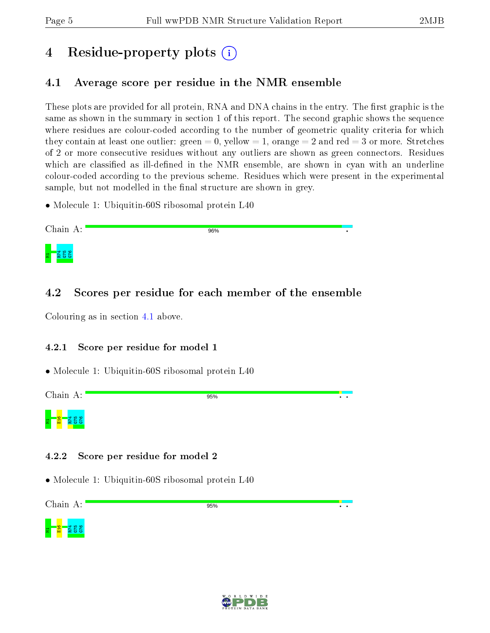# 4 Residue-property plots  $\binom{1}{1}$

## <span id="page-4-0"></span>4.1 Average score per residue in the NMR ensemble

These plots are provided for all protein, RNA and DNA chains in the entry. The first graphic is the same as shown in the summary in section 1 of this report. The second graphic shows the sequence where residues are colour-coded according to the number of geometric quality criteria for which they contain at least one outlier: green  $= 0$ , yellow  $= 1$ , orange  $= 2$  and red  $= 3$  or more. Stretches of 2 or more consecutive residues without any outliers are shown as green connectors. Residues which are classified as ill-defined in the NMR ensemble, are shown in cyan with an underline colour-coded according to the previous scheme. Residues which were present in the experimental sample, but not modelled in the final structure are shown in grey.

• Molecule 1: Ubiquitin-60S ribosomal protein L40



## 4.2 Scores per residue for each member of the ensemble

Colouring as in section [4.1](#page-4-0) above.

## 4.2.1 Score per residue for model 1

• Molecule 1: Ubiquitin-60S ribosomal protein L40

Chain A:

95%



## 4.2.2 Score per residue for model 2

• Molecule 1: Ubiquitin-60S ribosomal protein L40

Chain A:

95%





 $\overline{\cdot}$  .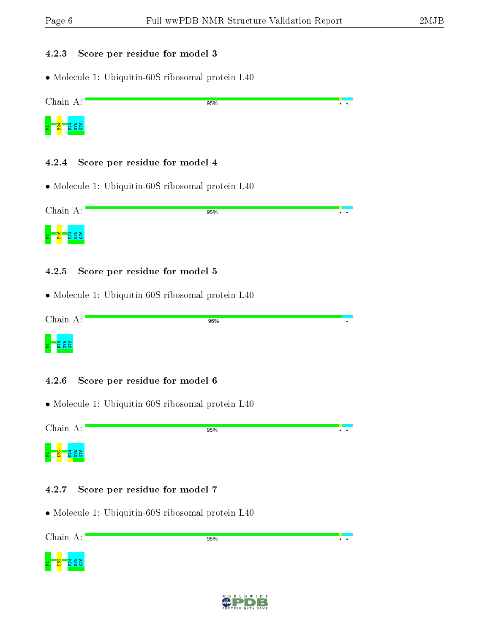#### 4.2.3 Score per residue for model 3

• Molecule 1: Ubiquitin-60S ribosomal protein L40

Chain A: 95%  $\cdot$  .



4.2.4 Score per residue for model 4

• Molecule 1: Ubiquitin-60S ribosomal protein L40

Chain A: 95%  $\ddot{\phantom{0}}$ 

#### 4.2.5 Score per residue for model 5

• Molecule 1: Ubiquitin-60S ribosomal protein L40

Chain A:

 $\frac{1}{5}$   $\frac{1}{5}$ 

96%

# $\frac{375}{15}$

### 4.2.6 Score per residue for model 6

• Molecule 1: Ubiquitin-60S ribosomal protein L40

Chain A:

95%

 $\overline{\phantom{a}}$ 

 $\overline{\cdot \cdot}$ 

9 10 0 <mark>8 -</mark> 로

### 4.2.7 Score per residue for model 7

• Molecule 1: Ubiquitin-60S ribosomal protein L40

Chain A:





95%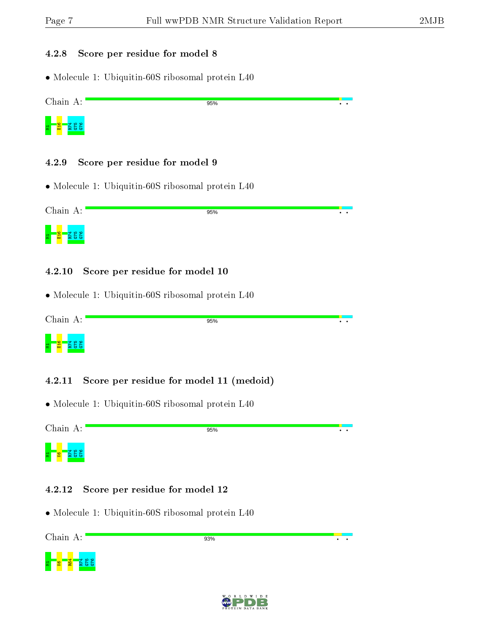#### 4.2.8 Score per residue for model 8

• Molecule 1: Ubiquitin-60S ribosomal protein L40

Chain A: 95%  $\overline{\cdot}$  .



4.2.9 Score per residue for model 9

• Molecule 1: Ubiquitin-60S ribosomal protein L40

Chain A: 95%  $\ddot{\phantom{0}}$ 9 3 3 2 <mark>9 일</mark> - 로

#### 4.2.10 Score per residue for model 10

• Molecule 1: Ubiquitin-60S ribosomal protein L40

Chain A: 95%



4.2.11 Score per residue for model 11 (medoid)

• Molecule 1: Ubiquitin-60S ribosomal protein L40

Chain A:

95%

 $\ddot{\phantom{0}}$ 

 $\overline{\phantom{a}}$ 

 $\overline{\cdot}$   $\overline{\cdot}$ 



### 4.2.12 Score per residue for model 12

• Molecule 1: Ubiquitin-60S ribosomal protein L40

Chain A:





93%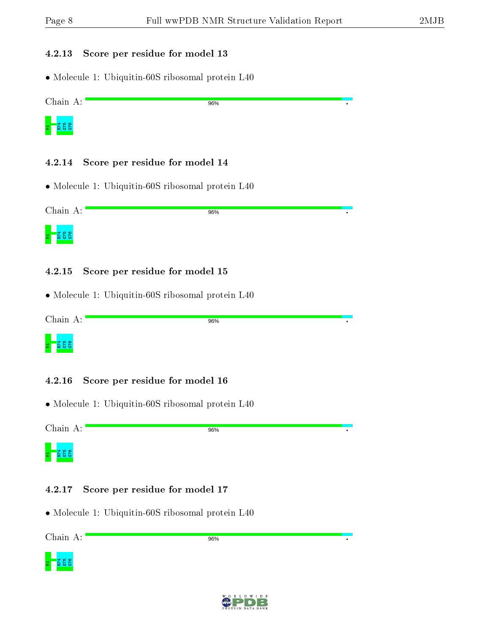#### 4.2.13 Score per residue for model 13

• Molecule 1: Ubiquitin-60S ribosomal protein L40

Chain A: 96%



#### 4.2.14 Score per residue for model 14

• Molecule 1: Ubiquitin-60S ribosomal protein L40

Chain A: 96%



#### 4.2.15 Score per residue for model 15

• Molecule 1: Ubiquitin-60S ribosomal protein L40

Chain A:

96%

# M1R74 G75 G76

#### 4.2.16 Score per residue for model 16

• Molecule 1: Ubiquitin-60S ribosomal protein L40

Chain A:

96%



#### 4.2.17 Score per residue for model 17

• Molecule 1: Ubiquitin-60S ribosomal protein L40

Chain A:

96%





 $\bullet$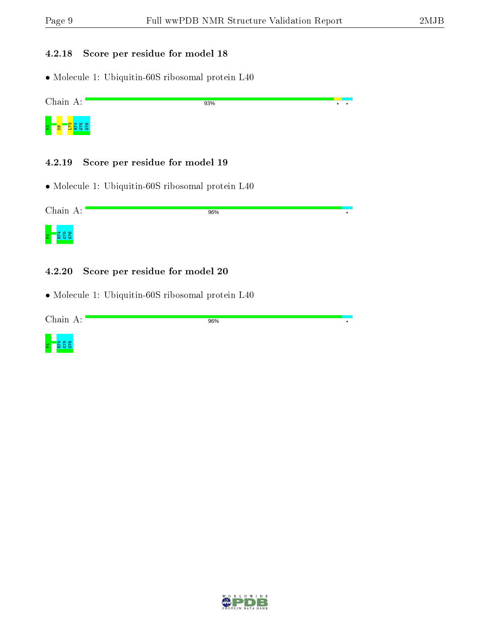$\overline{\cdot}$ ₹

 $\bullet$ 

 $\bullet$ 

### 4.2.18 Score per residue for model 18

• Molecule 1: Ubiquitin-60S ribosomal protein L40

Chain A:



#### 4.2.19 Score per residue for model 19

• Molecule 1: Ubiquitin-60S ribosomal protein L40

Chain A:

96%



#### 4.2.20 Score per residue for model 20

• Molecule 1: Ubiquitin-60S ribosomal protein L40

Chain A:

96%

93%



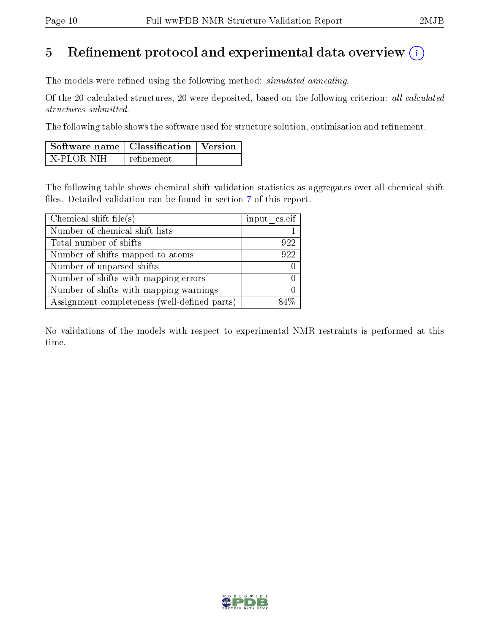## 5 Refinement protocol and experimental data overview  $\binom{1}{k}$

The models were refined using the following method: *simulated annealing*.

Of the 20 calculated structures, 20 were deposited, based on the following criterion: all calculated structures submitted.

The following table shows the software used for structure solution, optimisation and refinement.

| Software name   Classification   Version |            |  |
|------------------------------------------|------------|--|
| X-PLOR NIH                               | refinement |  |

The following table shows chemical shift validation statistics as aggregates over all chemical shift files. Detailed validation can be found in section [7](#page-13-0) of this report.

| Chemical shift file(s)                       | input $\text{cs.} \text{cif}$ |
|----------------------------------------------|-------------------------------|
| Number of chemical shift lists               |                               |
| Total number of shifts                       | 922                           |
| Number of shifts mapped to atoms             | 922                           |
| Number of unparsed shifts                    |                               |
| Number of shifts with mapping errors         |                               |
| Number of shifts with mapping warnings       |                               |
| Assignment completeness (well-defined parts) |                               |

No validations of the models with respect to experimental NMR restraints is performed at this time.

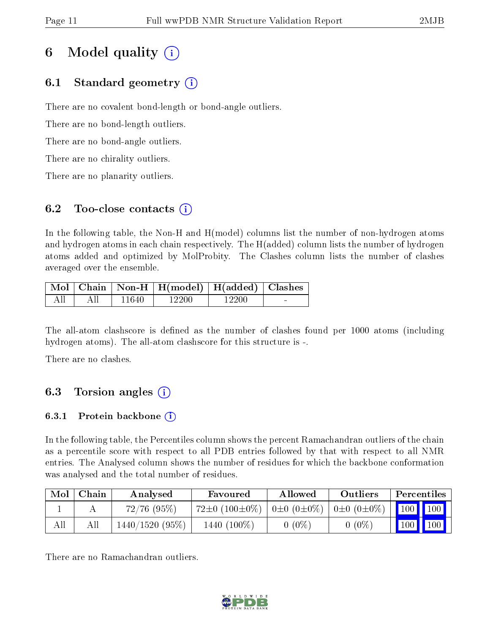# 6 Model quality  $(i)$

## 6.1 Standard geometry  $(i)$

There are no covalent bond-length or bond-angle outliers.

There are no bond-length outliers.

There are no bond-angle outliers.

There are no chirality outliers.

There are no planarity outliers.

## 6.2 Too-close contacts  $(i)$

In the following table, the Non-H and H(model) columns list the number of non-hydrogen atoms and hydrogen atoms in each chain respectively. The H(added) column lists the number of hydrogen atoms added and optimized by MolProbity. The Clashes column lists the number of clashes averaged over the ensemble.

| Mol |  | $\mid$ Chain $\mid$ Non-H $\mid$ H(model) $\mid$ H(added) $\mid$ Clashes |        |                |
|-----|--|--------------------------------------------------------------------------|--------|----------------|
|     |  | . 990tr                                                                  | -2201. | <b>Section</b> |

The all-atom clashscore is defined as the number of clashes found per 1000 atoms (including hydrogen atoms). The all-atom clashscore for this structure is -.

There are no clashes.

## 6.3 Torsion angles (i)

## 6.3.1 Protein backbone  $(i)$

In the following table, the Percentiles column shows the percent Ramachandran outliers of the chain as a percentile score with respect to all PDB entries followed by that with respect to all NMR entries. The Analysed column shows the number of residues for which the backbone conformation was analysed and the total number of residues.

| Mol | Chain | Analysed         | Favoured                  | Allowed               | Outliers            | Percentiles   |                    |
|-----|-------|------------------|---------------------------|-----------------------|---------------------|---------------|--------------------|
|     |       | $72/76$ $(95\%)$ | 72 $\pm$ 0 (100 $\pm$ 0%) | $0\pm 0$ $(0\pm 0\%)$ | $ 0\pm 0(0\pm 0\%)$ | $100$   $100$ |                    |
| All |       | 1440/1520 (95%)  | 1440 $(100\%)$            | $(0\%$                | $0(0\%)$            | 100           | $\blacksquare$ 100 |

There are no Ramachandran outliers.

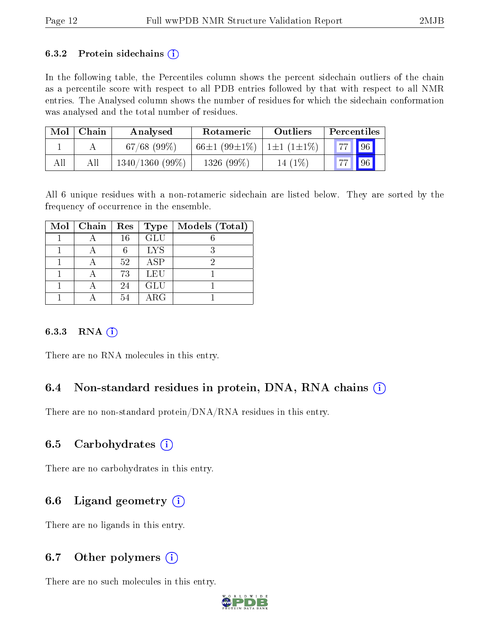#### 6.3.2 Protein sidechains  $(i)$

In the following table, the Percentiles column shows the percent sidechain outliers of the chain as a percentile score with respect to all PDB entries followed by that with respect to all NMR entries. The Analysed column shows the number of residues for which the sidechain conformation was analysed and the total number of residues.

| Mol | Chain | Analysed       | Rotameric                   | Outliers  | Percentiles        |
|-----|-------|----------------|-----------------------------|-----------|--------------------|
|     |       | $67/68$ (99\%) | 66±1 (99±1\%)   1±1 (1±1\%) |           | <b>77   96</b>     |
| All |       | 1340/1360(99%) | $1326(99\%)$                | $14(1\%)$ | $\vert$ 96<br>77 L |

All 6 unique residues with a non-rotameric sidechain are listed below. They are sorted by the frequency of occurrence in the ensemble.

| $Mol$   Chain | Res | Type       | Models (Total) |
|---------------|-----|------------|----------------|
|               | 16  | GLU        |                |
|               |     | <b>LYS</b> |                |
|               | 52  | ASP        | 6)             |
|               | 73  | LEU        |                |
|               | 24  | <b>GLU</b> |                |
|               | 54  | ARG        |                |

#### 6.3.3 RNA (i)

There are no RNA molecules in this entry.

## 6.4 Non-standard residues in protein, DNA, RNA chains (i)

There are no non-standard protein/DNA/RNA residues in this entry.

### 6.5 Carbohydrates  $(i)$

There are no carbohydrates in this entry.

## 6.6 Ligand geometry  $(i)$

There are no ligands in this entry.

## 6.7 [O](https://www.wwpdb.org/validation/2017/NMRValidationReportHelp#nonstandard_residues_and_ligands)ther polymers  $(i)$

There are no such molecules in this entry.

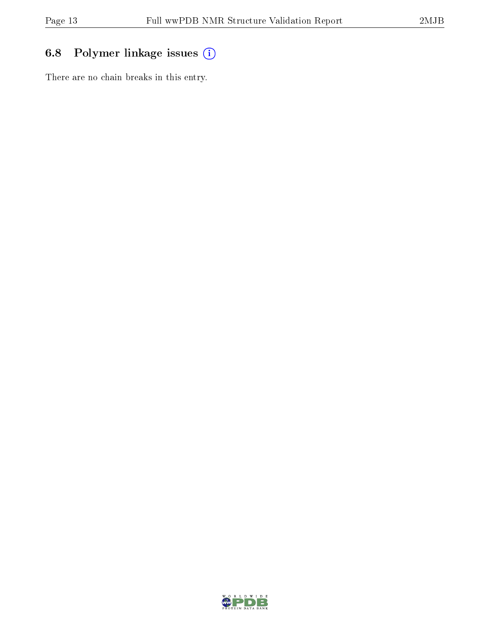## 6.8 Polymer linkage issues (i)

There are no chain breaks in this entry.

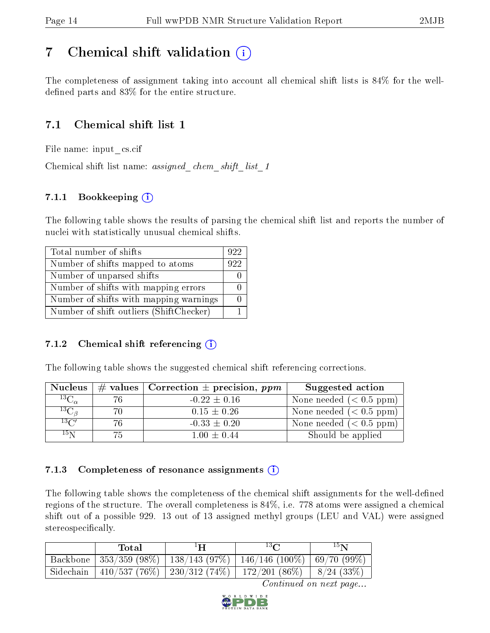## <span id="page-13-0"></span>7 Chemical shift validation  $\left( \begin{array}{c} \overline{1} \end{array} \right)$

The completeness of assignment taking into account all chemical shift lists is 84% for the welldefined parts and  $83\%$  for the entire structure.

## 7.1 Chemical shift list 1

File name: input\_cs.cif

Chemical shift list name: assigned chem shift list 1

## 7.1.1 Bookkeeping (i)

The following table shows the results of parsing the chemical shift list and reports the number of nuclei with statistically unusual chemical shifts.

| Total number of shifts                  | 922 |
|-----------------------------------------|-----|
| Number of shifts mapped to atoms        | 922 |
| Number of unparsed shifts               |     |
| Number of shifts with mapping errors    |     |
| Number of shifts with mapping warnings  |     |
| Number of shift outliers (ShiftChecker) |     |

## 7.1.2 Chemical shift referencing  $(i)$

The following table shows the suggested chemical shift referencing corrections.

| <b>Nucleus</b>                     |     | $\#$ values   Correction $\pm$ precision, ppm | Suggested action        |
|------------------------------------|-----|-----------------------------------------------|-------------------------|
| $\overline{^{13}{\rm C}}_{\alpha}$ | 76. | $-0.22 \pm 0.16$                              | None needed $(0.5 ppm)$ |
| ${}^{13}C_{\beta}$                 | 70  | $0.15 \pm 0.26$                               | None needed $(0.5 ppm)$ |
| $13\text{C}$                       | 76  | $-0.33 \pm 0.20$                              | None needed $(0.5 ppm)$ |
| $15\,\mathrm{N}$                   | 75  | $1.00 \pm 0.44$                               | Should be applied       |

### 7.1.3 Completeness of resonance assignments  $(i)$

The following table shows the completeness of the chemical shift assignments for the well-defined regions of the structure. The overall completeness is 84%, i.e. 778 atoms were assigned a chemical shift out of a possible 929. 13 out of 13 assigned methyl groups (LEU and VAL) were assigned stereospecifically.

| Total | $^1$ H | $^{13}$ $C$                                                             | 15 <sub>N</sub> |
|-------|--------|-------------------------------------------------------------------------|-----------------|
|       |        | Backbone   353/359 (98%)   138/143 (97%)   146/146 (100%)   69/70 (99%) |                 |
|       |        | Sidechain   410/537 (76%)   230/312 (74%)   172/201 (86%)   8/24 (33%)  |                 |

Continued on next page...